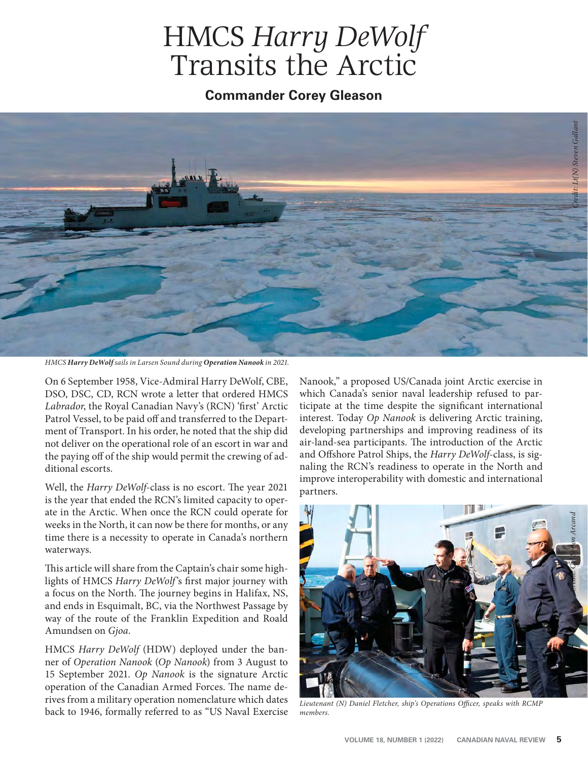## HMCS *Harry DeWolf* Transits the Arctic

**Commander Corey Gleason**



*HMCS Harry DeWolf sails in Larsen Sound during Operation Nanook in 2021.*

On 6 September 1958, Vice-Admiral Harry DeWolf, CBE, DSO, DSC, CD, RCN wrote a letter that ordered HMCS Labrador, the Royal Canadian Navy's (RCN) 'first' Arctic Patrol Vessel, to be paid off and transferred to the Department of Transport. In his order, he noted that the ship did not deliver on the operational role of an escort in war and the paying off of the ship would permit the crewing of additional escorts.

Well, the *Harry DeWolf-class* is no escort. The year 2021 is the year that ended the RCN's limited capacity to operate in the Arctic. When once the RCN could operate for weeks in the North, it can now be there for months, or any time there is a necessity to operate in Canada's northern waterways.

This article will share from the Captain's chair some highlights of HMCS Harry DeWolf's first major journey with a focus on the North. The journey begins in Halifax, NS, and ends in Esquimalt, BC, via the Northwest Passage by way of the route of the Franklin Expedition and Roald Amundsen on *Gjoa*.

HMCS *Harry DeWolf* (HDW) deployed under the banner of *Operation Nanook* (*Op Nanook*) from 3 August to 15 September 2021. *Op Nanook* is the signature Arctic operation of the Canadian Armed Forces. The name derives from a military operation nomenclature which dates back to 1946, formally referred to as "US Naval Exercise

Nanook," a proposed US/Canada joint Arctic exercise in which Canada's senior naval leadership refused to participate at the time despite the significant international interest. Today *Op Nanook* is delivering Arctic training, developing partnerships and improving readiness of its air-land-sea participants. The introduction of the Arctic and Offshore Patrol Ships, the *Harry DeWolf-class*, is signaling the RCN's readiness to operate in the North and improve interoperability with domestic and international partners.



Lieutenant (N) Daniel Fletcher, ship's Operations Officer, speaks with RCMP *members.*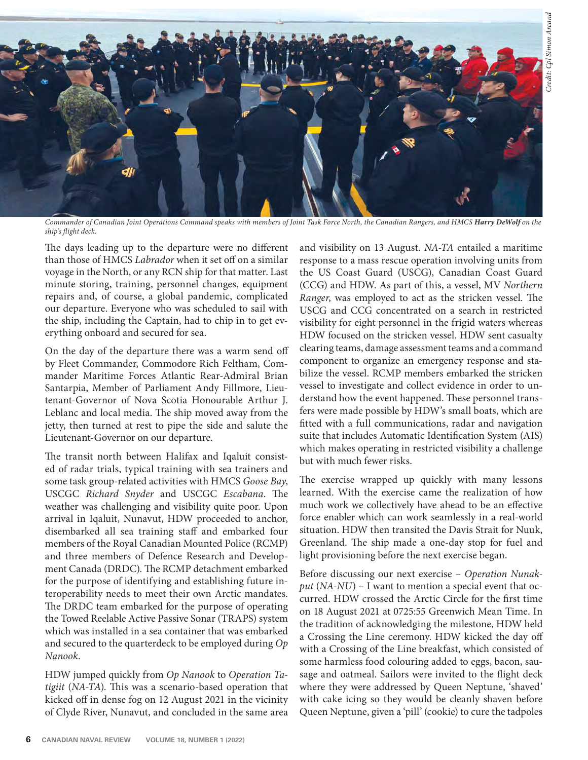

*Commander of Canadian Joint Operations Command speaks with members of Joint Task Force North, the Canadian Rangers, and HMCS Harry DeWolf on the ship's fl ight deck.*

The days leading up to the departure were no different than those of HMCS *Labrador* when it set off on a similar voyage in the North, or any RCN ship for that matter. Last minute storing, training, personnel changes, equipment repairs and, of course, a global pandemic, complicated our departure. Everyone who was scheduled to sail with the ship, including the Captain, had to chip in to get everything onboard and secured for sea.

On the day of the departure there was a warm send off by Fleet Commander, Commodore Rich Feltham, Commander Maritime Forces Atlantic Rear-Admiral Brian Santarpia, Member of Parliament Andy Fillmore, Lieutenant-Governor of Nova Scotia Honourable Arthur J. Leblanc and local media. The ship moved away from the jetty, then turned at rest to pipe the side and salute the Lieutenant-Governor on our departure.

The transit north between Halifax and Iqaluit consisted of radar trials, typical training with sea trainers and some task group-related activities with HMCS *Goose Bay*, USCGC Richard Snyder and USCGC Escabana. The weather was challenging and visibility quite poor. Upon arrival in Iqaluit, Nunavut, HDW proceeded to anchor, disembarked all sea training staff and embarked four members of the Royal Canadian Mounted Police (RCMP) and three members of Defence Research and Development Canada (DRDC). The RCMP detachment embarked for the purpose of identifying and establishing future interoperability needs to meet their own Arctic mandates. The DRDC team embarked for the purpose of operating the Towed Reelable Active Passive Sonar (TRAPS) system which was installed in a sea container that was embarked and secured to the quarterdeck to be employed during *Op Nanook*.

HDW jumped quickly from *Op Nanook* to *Operation Tatigiit* (NA-TA). This was a scenario-based operation that kicked off in dense fog on 12 August 2021 in the vicinity of Clyde River, Nunavut, and concluded in the same area and visibility on 13 August. *NA-TA* entailed a maritime response to a mass rescue operation involving units from the US Coast Guard (USCG), Canadian Coast Guard (CCG) and HDW. As part of this, a vessel, MV *Northern Ranger*, was employed to act as the stricken vessel. The USCG and CCG concentrated on a search in restricted visibility for eight personnel in the frigid waters whereas HDW focused on the stricken vessel. HDW sent casualty clearing teams, damage assessment teams and a command component to organize an emergency response and stabilize the vessel. RCMP members embarked the stricken vessel to investigate and collect evidence in order to understand how the event happened. These personnel transfers were made possible by HDW's small boats, which are fitted with a full communications, radar and navigation suite that includes Automatic Identification System (AIS) which makes operating in restricted visibility a challenge but with much fewer risks.

The exercise wrapped up quickly with many lessons learned. With the exercise came the realization of how much work we collectively have ahead to be an effective force enabler which can work seamlessly in a real-world situation. HDW then transited the Davis Strait for Nuuk, Greenland. The ship made a one-day stop for fuel and light provisioning before the next exercise began.

Before discussing our next exercise – *Operation Nunakput* (*NA-NU*) – I want to mention a special event that occurred. HDW crossed the Arctic Circle for the first time on 18 August 2021 at 0725:55 Greenwich Mean Time. In the tradition of acknowledging the milestone, HDW held a Crossing the Line ceremony. HDW kicked the day off with a Crossing of the Line breakfast, which consisted of some harmless food colouring added to eggs, bacon, sausage and oatmeal. Sailors were invited to the flight deck where they were addressed by Queen Neptune, 'shaved' with cake icing so they would be cleanly shaven before Queen Neptune, given a 'pill' (cookie) to cure the tadpoles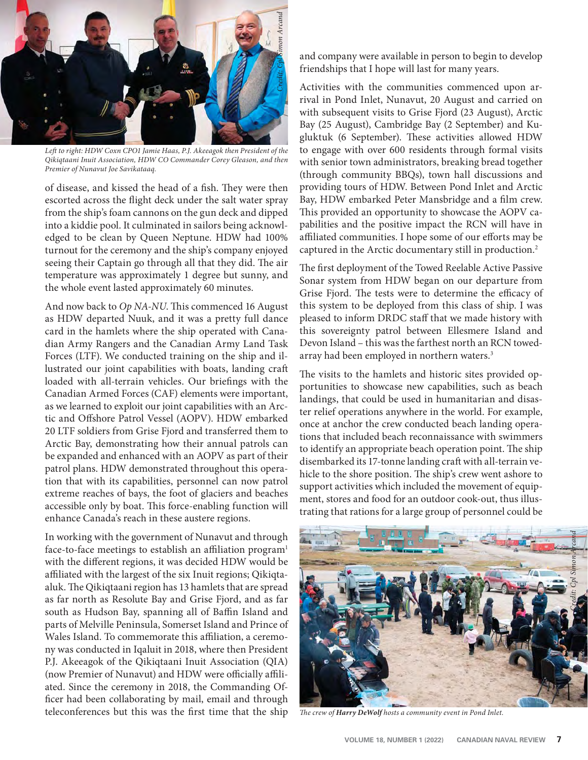

Left to right: HDW Coxn CPO1 Jamie Haas, P.J. Akeeagok then President of the *Qikiqtaani Inuit Association, HDW CO Commander Corey Gleason, and then Premier of Nunavut Joe Savikataaq.* 

of disease, and kissed the head of a fish. They were then escorted across the flight deck under the salt water spray from the ship's foam cannons on the gun deck and dipped into a kiddie pool. It culminated in sailors being acknowledged to be clean by Queen Neptune. HDW had 100% turnout for the ceremony and the ship's company enjoyed seeing their Captain go through all that they did. The air temperature was approximately 1 degree but sunny, and the whole event lasted approximately 60 minutes.

And now back to *Op NA-NU*. This commenced 16 August as HDW departed Nuuk, and it was a pretty full dance card in the hamlets where the ship operated with Canadian Army Rangers and the Canadian Army Land Task Forces (LTF). We conducted training on the ship and illustrated our joint capabilities with boats, landing craft loaded with all-terrain vehicles. Our briefings with the Canadian Armed Forces (CAF) elements were important, as we learned to exploit our joint capabilities with an Arctic and Offshore Patrol Vessel (AOPV). HDW embarked 20 LTF soldiers from Grise Fjord and transferred them to Arctic Bay, demonstrating how their annual patrols can be expanded and enhanced with an AOPV as part of their patrol plans. HDW demonstrated throughout this operation that with its capabilities, personnel can now patrol extreme reaches of bays, the foot of glaciers and beaches accessible only by boat. This force-enabling function will enhance Canada's reach in these austere regions.

In working with the government of Nunavut and through face-to-face meetings to establish an affiliation program<sup>1</sup> with the different regions, it was decided HDW would be affiliated with the largest of the six Inuit regions; Qikiqtaaluk. The Qikiqtaani region has 13 hamlets that are spread as far north as Resolute Bay and Grise Fjord, and as far south as Hudson Bay, spanning all of Baffin Island and parts of Melville Peninsula, Somerset Island and Prince of Wales Island. To commemorate this affiliation, a ceremony was conducted in Iqaluit in 2018, where then President P.J. Akeeagok of the Qikiqtaani Inuit Association (QIA) (now Premier of Nunavut) and HDW were officially affiliated. Since the ceremony in 2018, the Commanding Officer had been collaborating by mail, email and through teleconferences but this was the first time that the ship

and company were available in person to begin to develop friendships that I hope will last for many years.

Activities with the communities commenced upon arrival in Pond Inlet, Nunavut, 20 August and carried on with subsequent visits to Grise Fjord (23 August), Arctic Bay (25 August), Cambridge Bay (2 September) and Kugluktuk (6 September). These activities allowed HDW to engage with over 600 residents through formal visits with senior town administrators, breaking bread together (through community BBQs), town hall discussions and providing tours of HDW. Between Pond Inlet and Arctic Bay, HDW embarked Peter Mansbridge and a film crew. This provided an opportunity to showcase the AOPV capabilities and the positive impact the RCN will have in affiliated communities. I hope some of our efforts may be captured in the Arctic documentary still in production.<sup>2</sup>

The first deployment of the Towed Reelable Active Passive Sonar system from HDW began on our departure from Grise Fjord. The tests were to determine the efficacy of this system to be deployed from this class of ship. I was pleased to inform DRDC staff that we made history with this sovereignty patrol between Ellesmere Island and Devon Island – this was the farthest north an RCN towedarray had been employed in northern waters.<sup>3</sup>

The visits to the hamlets and historic sites provided opportunities to showcase new capabilities, such as beach landings, that could be used in humanitarian and disaster relief operations anywhere in the world. For example, once at anchor the crew conducted beach landing operations that included beach reconnaissance with swimmers to identify an appropriate beach operation point. The ship disembarked its 17-tonne landing craft with all-terrain vehicle to the shore position. The ship's crew went ashore to support activities which included the movement of equipment, stores and food for an outdoor cook-out, thus illustrating that rations for a large group of personnel could be



*Th e crew of Harry DeWolf hosts a community event in Pond Inlet.*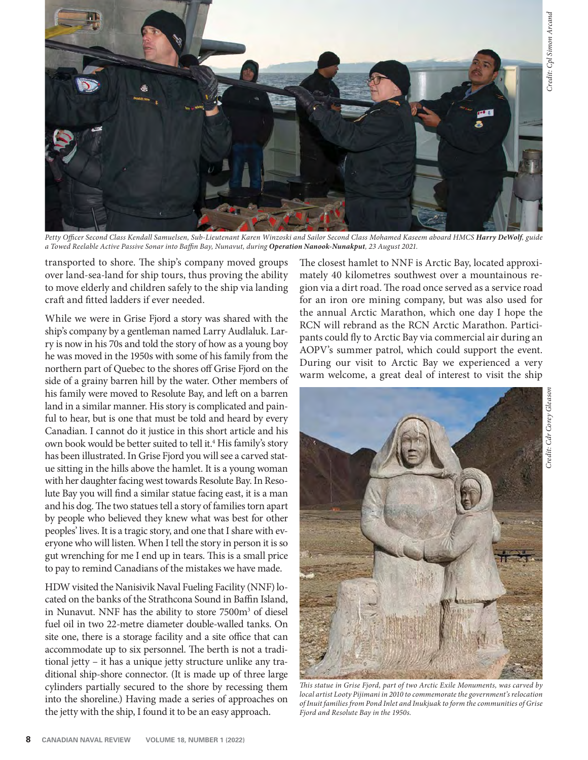

*Petty Offi cer Second Class Kendall Samuelsen, Sub-Lieutenant Karen Winzoski and Sailor Second Class Mohamed Kaseem aboard HMCS Harry DeWolf, guide a Towed Reelable Active Passive Sonar into Baffi n Bay, Nunavut, during Operation Nanook-Nunakput, 23 August 2021.*

transported to shore. The ship's company moved groups over land-sea-land for ship tours, thus proving the ability to move elderly and children safely to the ship via landing craft and fitted ladders if ever needed.

While we were in Grise Fjord a story was shared with the ship's company by a gentleman named Larry Audlaluk. Larry is now in his 70s and told the story of how as a young boy he was moved in the 1950s with some of his family from the northern part of Quebec to the shores off Grise Fjord on the side of a grainy barren hill by the water. Other members of his family were moved to Resolute Bay, and left on a barren land in a similar manner. His story is complicated and painful to hear, but is one that must be told and heard by every Canadian. I cannot do it justice in this short article and his own book would be better suited to tell it.<sup>4</sup> His family's story has been illustrated. In Grise Fjord you will see a carved statue sitting in the hills above the hamlet. It is a young woman with her daughter facing west towards Resolute Bay. In Resolute Bay you will find a similar statue facing east, it is a man and his dog. The two statues tell a story of families torn apart by people who believed they knew what was best for other peoples' lives. It is a tragic story, and one that I share with everyone who will listen. When I tell the story in person it is so gut wrenching for me I end up in tears. This is a small price to pay to remind Canadians of the mistakes we have made.

HDW visited the Nanisivik Naval Fueling Facility (NNF) located on the banks of the Strathcona Sound in Baffin Island, in Nunavut. NNF has the ability to store 7500m<sup>3</sup> of diesel fuel oil in two 22-metre diameter double-walled tanks. On site one, there is a storage facility and a site office that can accommodate up to six personnel. The berth is not a traditional jetty – it has a unique jetty structure unlike any traditional ship-shore connector. (It is made up of three large cylinders partially secured to the shore by recessing them into the shoreline.) Having made a series of approaches on the jetty with the ship, I found it to be an easy approach.

The closest hamlet to NNF is Arctic Bay, located approximately 40 kilometres southwest over a mountainous region via a dirt road. The road once served as a service road for an iron ore mining company, but was also used for the annual Arctic Marathon, which one day I hope the RCN will rebrand as the RCN Arctic Marathon. Participants could fly to Arctic Bay via commercial air during an AOPV's summer patrol, which could support the event. During our visit to Arctic Bay we experienced a very warm welcome, a great deal of interest to visit the ship



*Th is statue in Grise Fjord, part of two Arctic Exile Monuments, was carved by local artist Looty Pijimani in 2010 to commemorate the government's relocation of Inuit families from Pond Inlet and Inukjuak to form the communities of Grise Fjord and Resolute Bay in the 1950s.*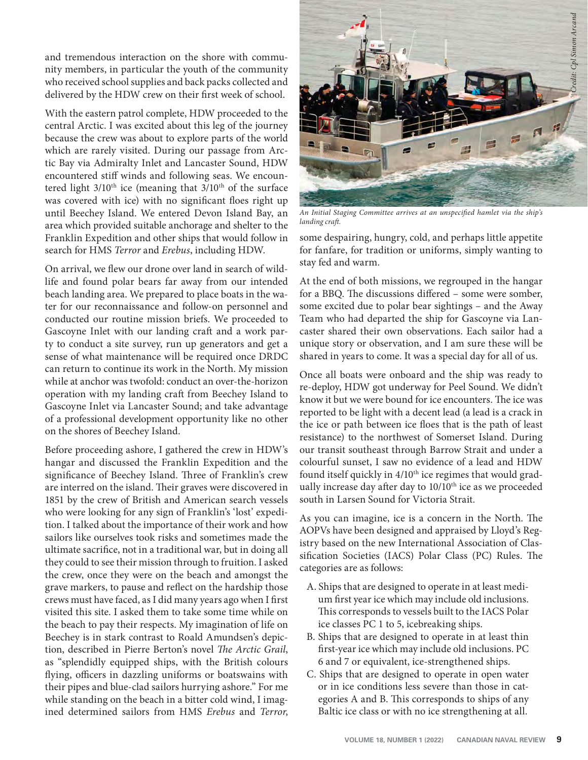and tremendous interaction on the shore with community members, in particular the youth of the community who received school supplies and back packs collected and delivered by the HDW crew on their first week of school.

With the eastern patrol complete, HDW proceeded to the central Arctic. I was excited about this leg of the journey because the crew was about to explore parts of the world which are rarely visited. During our passage from Arctic Bay via Admiralty Inlet and Lancaster Sound, HDW encountered stiff winds and following seas. We encountered light  $3/10<sup>th</sup>$  ice (meaning that  $3/10<sup>th</sup>$  of the surface was covered with ice) with no significant floes right up until Beechey Island. We entered Devon Island Bay, an area which provided suitable anchorage and shelter to the Franklin Expedition and other ships that would follow in search for HMS *Terror* and *Erebus*, including HDW.

On arrival, we flew our drone over land in search of wildlife and found polar bears far away from our intended beach landing area. We prepared to place boats in the water for our reconnaissance and follow-on personnel and conducted our routine mission briefs. We proceeded to Gascoyne Inlet with our landing craft and a work party to conduct a site survey, run up generators and get a sense of what maintenance will be required once DRDC can return to continue its work in the North. My mission while at anchor was twofold: conduct an over-the-horizon operation with my landing craft from Beechey Island to Gascoyne Inlet via Lancaster Sound; and take advantage of a professional development opportunity like no other on the shores of Beechey Island.

Before proceeding ashore, I gathered the crew in HDW's hangar and discussed the Franklin Expedition and the significance of Beechey Island. Three of Franklin's crew are interred on the island. Their graves were discovered in 1851 by the crew of British and American search vessels who were looking for any sign of Franklin's 'lost' expedition. I talked about the importance of their work and how sailors like ourselves took risks and sometimes made the ultimate sacrifice, not in a traditional war, but in doing all they could to see their mission through to fruition. I asked the crew, once they were on the beach and amongst the grave markers, to pause and reflect on the hardship those crews must have faced, as I did many years ago when I first visited this site. I asked them to take some time while on the beach to pay their respects. My imagination of life on Beechey is in stark contrast to Roald Amundsen's depiction, described in Pierre Berton's novel *The Arctic Grail*, as "splendidly equipped ships, with the British colours flying, officers in dazzling uniforms or boatswains with their pipes and blue-clad sailors hurrying ashore." For me while standing on the beach in a bitter cold wind, I imagined determined sailors from HMS *Erebus* and *Terror*,



An Initial Staging Committee arrives at an unspecified hamlet via the ship's *landing craft .* 

some despairing, hungry, cold, and perhaps little appetite for fanfare, for tradition or uniforms, simply wanting to stay fed and warm.

At the end of both missions, we regrouped in the hangar for a BBQ. The discussions differed - some were somber, some excited due to polar bear sightings – and the Away Team who had departed the ship for Gascoyne via Lancaster shared their own observations. Each sailor had a unique story or observation, and I am sure these will be shared in years to come. It was a special day for all of us.

Once all boats were onboard and the ship was ready to re-deploy, HDW got underway for Peel Sound. We didn't know it but we were bound for ice encounters. The ice was reported to be light with a decent lead (a lead is a crack in the ice or path between ice floes that is the path of least resistance) to the northwest of Somerset Island. During our transit southeast through Barrow Strait and under a colourful sunset, I saw no evidence of a lead and HDW found itself quickly in  $4/10<sup>th</sup>$  ice regimes that would gradually increase day after day to 10/10<sup>th</sup> ice as we proceeded south in Larsen Sound for Victoria Strait.

As you can imagine, ice is a concern in the North. The AOPVs have been designed and appraised by Lloyd's Registry based on the new International Association of Classification Societies (IACS) Polar Class (PC) Rules. The categories are as follows:

- A. Ships that are designed to operate in at least medium first year ice which may include old inclusions. This corresponds to vessels built to the IACS Polar ice classes PC 1 to 5, icebreaking ships.
- B. Ships that are designed to operate in at least thin first-year ice which may include old inclusions. PC 6 and 7 or equivalent, ice-strengthened ships.
- C. Ships that are designed to operate in open water or in ice conditions less severe than those in categories A and B. This corresponds to ships of any Baltic ice class or with no ice strengthening at all.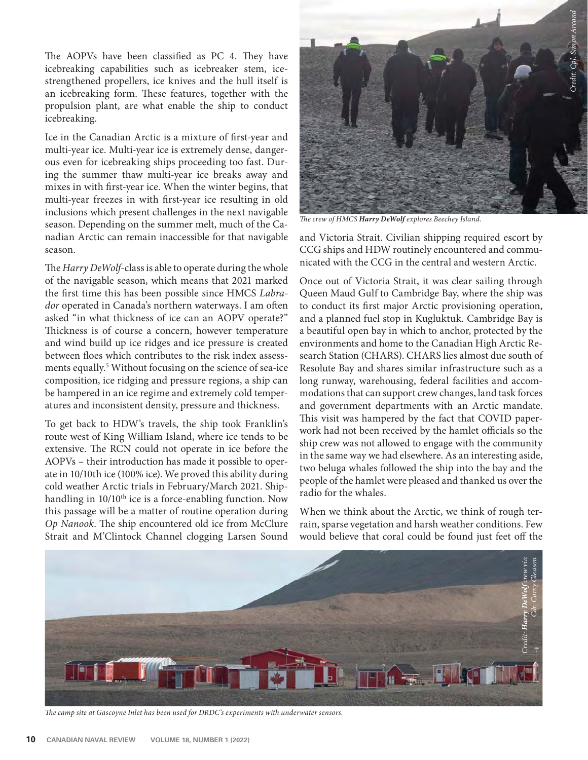The AOPVs have been classified as PC 4. They have icebreaking capabilities such as icebreaker stem, icestrengthened propellers, ice knives and the hull itself is an icebreaking form. These features, together with the propulsion plant, are what enable the ship to conduct icebreaking.

Ice in the Canadian Arctic is a mixture of first-year and multi-year ice. Multi-year ice is extremely dense, dangerous even for icebreaking ships proceeding too fast. During the summer thaw multi-year ice breaks away and mixes in with first-year ice. When the winter begins, that multi-year freezes in with first-year ice resulting in old inclusions which present challenges in the next navigable season. Depending on the summer melt, much of the Canadian Arctic can remain inaccessible for that navigable season.

The *Harry DeWolf-class is able to operate during the whole* of the navigable season, which means that 2021 marked the first time this has been possible since HMCS *Labra*dor operated in Canada's northern waterways. I am often asked "in what thickness of ice can an AOPV operate?" Thickness is of course a concern, however temperature and wind build up ice ridges and ice pressure is created between floes which contributes to the risk index assessments equally.<sup>5</sup> Without focusing on the science of sea-ice composition, ice ridging and pressure regions, a ship can be hampered in an ice regime and extremely cold temperatures and inconsistent density, pressure and thickness.

To get back to HDW's travels, the ship took Franklin's route west of King William Island, where ice tends to be extensive. The RCN could not operate in ice before the AOPVs – their introduction has made it possible to operate in 10/10th ice (100% ice). We proved this ability during cold weather Arctic trials in February/March 2021. Shiphandling in 10/10<sup>th</sup> ice is a force-enabling function. Now this passage will be a matter of routine operation during *Op Nanook*. The ship encountered old ice from McClure Strait and M'Clintock Channel clogging Larsen Sound



*The crew of HMCS Harry DeWolf explores Beechey Island.* 

and Victoria Strait. Civilian shipping required escort by CCG ships and HDW routinely encountered and communicated with the CCG in the central and western Arctic.

Once out of Victoria Strait, it was clear sailing through Queen Maud Gulf to Cambridge Bay, where the ship was to conduct its first major Arctic provisioning operation, and a planned fuel stop in Kugluktuk. Cambridge Bay is a beautiful open bay in which to anchor, protected by the environments and home to the Canadian High Arctic Research Station (CHARS). CHARS lies almost due south of Resolute Bay and shares similar infrastructure such as a long runway, warehousing, federal facilities and accommodations that can support crew changes, land task forces and government departments with an Arctic mandate. This visit was hampered by the fact that COVID paperwork had not been received by the hamlet officials so the ship crew was not allowed to engage with the community in the same way we had elsewhere. As an interesting aside, two beluga whales followed the ship into the bay and the people of the hamlet were pleased and thanked us over the radio for the whales.

When we think about the Arctic, we think of rough terrain, sparse vegetation and harsh weather conditions. Few would believe that coral could be found just feet off the



The camp site at Gascoyne Inlet has been used for DRDC's experiments with underwater sensors.